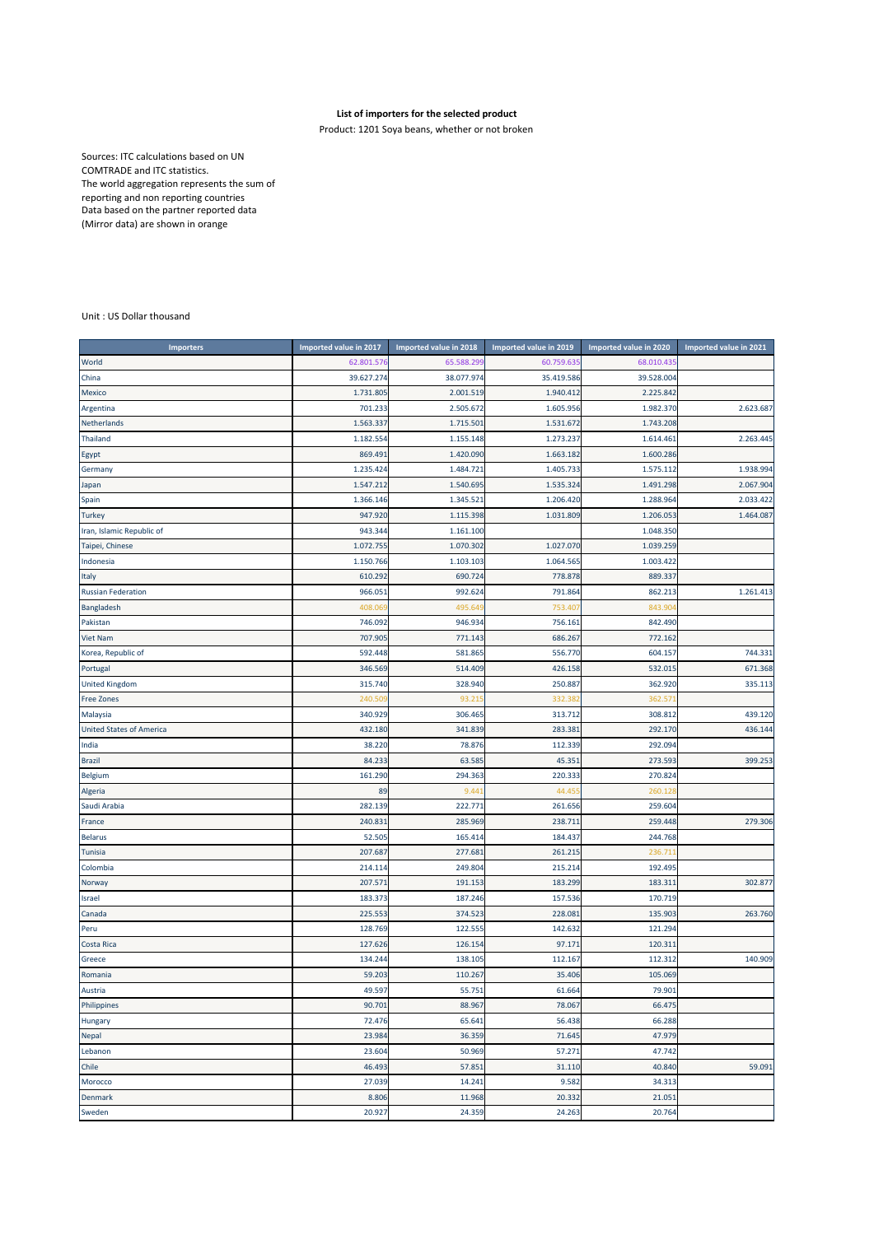## **List of importers for the selected product**

Product: 1201 Soya beans, whether or not broken

Sources: ITC calculations based on UN COMTRADE and ITC statistics. The world aggregation represents the sum of reporting and non reporting countries Data based on the partner reported data (Mirror data) are shown in orange

## Unit : US Dollar thousand

| <b>Importers</b>                | <b>Imported value in 2017</b> | Imported value in 2018 | Imported value in 2019 | Imported value in 2020 | Imported value in 2021 |
|---------------------------------|-------------------------------|------------------------|------------------------|------------------------|------------------------|
| World                           | 62.801.576                    | 65.588.299             | 60.759.635             | 68.010.43              |                        |
| China                           | 39.627.274                    | 38.077.974             | 35.419.586             | 39.528.004             |                        |
| Mexico                          | 1.731.805                     | 2.001.519              | 1.940.412              | 2.225.842              |                        |
| Argentina                       | 701.233                       | 2.505.672              | 1.605.956              | 1.982.370              | 2.623.687              |
| Netherlands                     | 1.563.337                     | 1.715.501              | 1.531.672              | 1.743.208              |                        |
| <b>Thailand</b>                 | 1.182.554                     | 1.155.148              | 1.273.237              | 1.614.461              | 2.263.445              |
| Egypt                           | 869.49                        | 1.420.090              | 1.663.182              | 1.600.286              |                        |
| Germany                         | 1.235.424                     | 1.484.72               | 1.405.733              | 1.575.11               | 1.938.994              |
| Japan                           | 1.547.212                     | 1.540.695              | 1.535.324              | 1.491.298              | 2.067.904              |
| Spain                           | 1.366.146                     | 1.345.521              | 1.206.420              | 1.288.964              | 2.033.422              |
| <b>Turkey</b>                   | 947.920                       | 1.115.398              | 1.031.809              | 1.206.053              | 1.464.087              |
| Iran, Islamic Republic of       | 943.344                       | 1.161.100              |                        | 1.048.350              |                        |
| Taipei, Chinese                 | 1.072.755                     | 1.070.302              | 1.027.070              | 1.039.259              |                        |
| Indonesia                       | 1.150.766                     | 1.103.103              | 1.064.565              | 1.003.422              |                        |
| Italy                           | 610.292                       | 690.724                | 778.878                | 889.337                |                        |
| <b>Russian Federation</b>       | 966.05:                       | 992.624                | 791.864                | 862.213                | 1.261.413              |
| Bangladesh                      | 408.06                        | 495.64                 | 753.407                | 843.90                 |                        |
| Pakistan                        | 746.092                       | 946.934                | 756.161                | 842.490                |                        |
| <b>Viet Nam</b>                 | 707.905                       | 771.143                | 686.267                | 772.162                |                        |
| Korea, Republic of              | 592.448                       | 581.865                | 556.770                | 604.157                | 744.331                |
| Portugal                        | 346.569                       | 514.409                | 426.158                | 532.015                | 671.368                |
| <b>United Kingdom</b>           | 315.740                       | 328.940                | 250.887                | 362.920                | 335.113                |
| <b>Free Zones</b>               | 240.50                        | 93.21                  | 332.38                 | 362.57                 |                        |
| Malaysia                        | 340.929                       | 306.465                | 313.712                | 308.812                | 439.120                |
| <b>United States of America</b> | 432.180                       | 341.839                | 283.381                | 292.170                | 436.144                |
| India                           | 38.220                        | 78.876                 | 112.339                | 292.094                |                        |
| <b>Brazil</b>                   | 84.233                        | 63.585                 | 45.351                 | 273.593                | 399.253                |
| Belgium                         | 161.290                       | 294.363                | 220.333                | 270.824                |                        |
| Algeria                         | 89                            | 9.44                   | 44.455                 | 260.12                 |                        |
| Saudi Arabia                    | 282.139                       | 222.771                | 261.656                | 259.604                |                        |
| France                          | 240.83                        | 285.969                | 238.711                | 259.448                | 279.306                |
| <b>Belarus</b>                  | 52.505                        | 165.414                | 184.437                | 244.768                |                        |
| Tunisia                         | 207.687                       | 277.681                | 261.215                | 236.71                 |                        |
| Colombia                        | 214.114                       | 249.804                | 215.214                | 192.495                |                        |
| Norway                          | 207.57                        | 191.15                 | 183.299                | 183.31:                | 302.877                |
| Israel                          | 183.373                       | 187.246                | 157.536                | 170.719                |                        |
| Canada                          | 225.553                       | 374.523                | 228.081                | 135.903                | 263.760                |
| Peru                            | 128.769                       | 122.55                 | 142.632                | 121.294                |                        |
| Costa Rica                      | 127.626                       | 126.154                | 97.171                 | 120.31:                |                        |
| Greece                          | 134.244                       | 138.105                | 112.167                | 112.312                | 140.909                |
| Romania                         | 59.203                        | 110.267                | 35.406                 | 105.069                |                        |
| Austria                         | 49.597                        | 55.751                 | 61.664                 | 79.901                 |                        |
| Philippines                     | 90.701                        | 88.967                 | 78.067                 | 66.475                 |                        |
| Hungary                         | 72.476                        | 65.641                 | 56.438                 | 66.288                 |                        |
| Nepal                           | 23.984                        | 36.359                 | 71.645                 | 47.979                 |                        |
| Lebanon                         | 23.604                        | 50.969                 | 57.271                 | 47.742                 |                        |
| Chile                           | 46.493                        | 57.851                 | 31.110                 | 40.840                 | 59.091                 |
| Morocco                         | 27.039                        | 14.241                 | 9.582                  | 34.313                 |                        |
| Denmark                         | 8.806                         | 11.968                 | 20.332                 | 21.051                 |                        |
| Sweden                          | 20.927                        | 24.359                 | 24.263                 | 20.764                 |                        |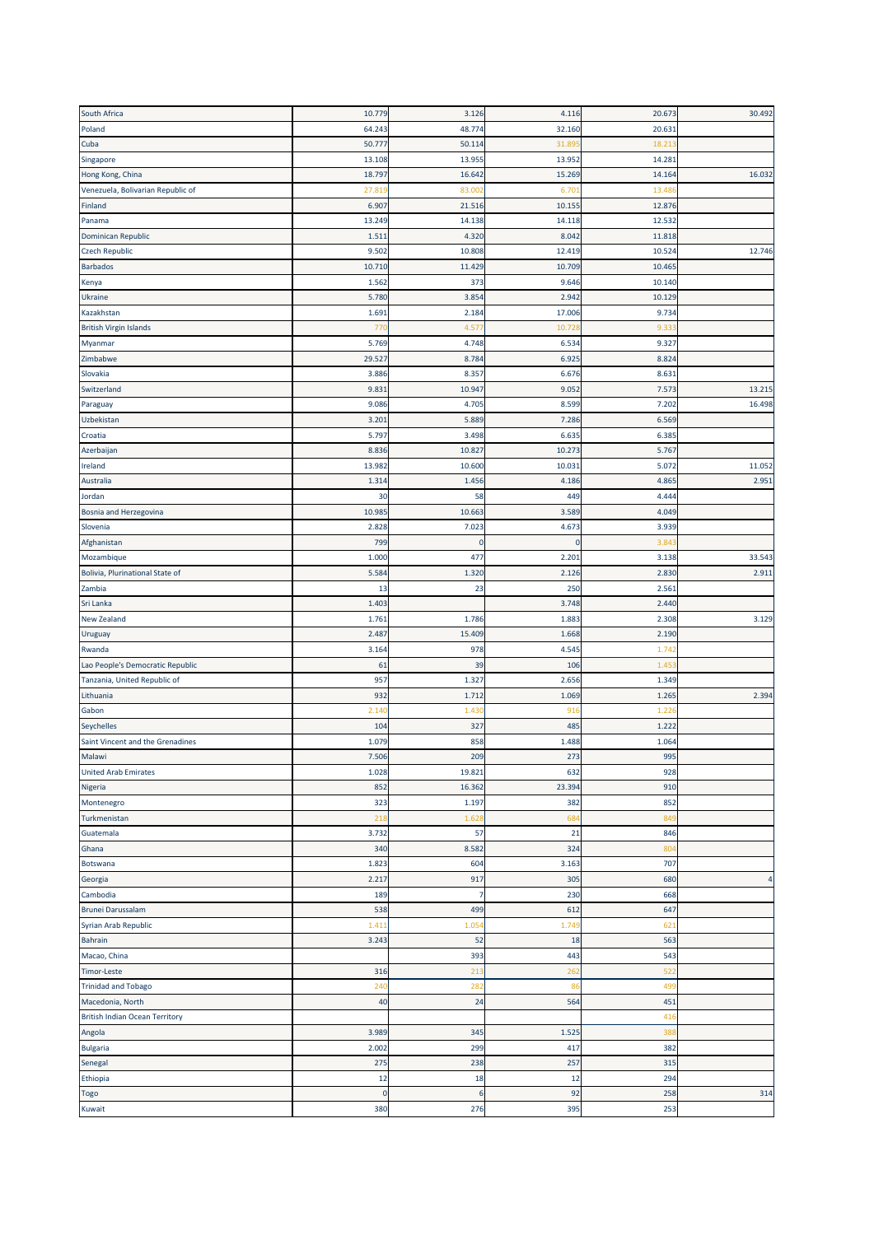| South Africa                          | 10.779      | 3.126          | 4.116          | 20.673 | 30.492 |
|---------------------------------------|-------------|----------------|----------------|--------|--------|
| Poland                                | 64.243      | 48.774         | 32.160         | 20.631 |        |
| Cuba                                  | 50.777      | 50.114         | 31.89          | 18.21  |        |
| Singapore                             | 13.108      | 13.955         | 13.952         | 14.281 |        |
| Hong Kong, China                      | 18.797      | 16.642         | 15.269         | 14.164 | 16.032 |
| Venezuela, Bolivarian Republic of     | 27.81       | 83.00          | 6.70           | 13.48  |        |
| Finland                               | 6.907       | 21.516         | 10.155         | 12.876 |        |
| Panama                                | 13.249      | 14.138         | 14.118         | 12.532 |        |
| Dominican Republic                    | 1.511       | 4.320          | 8.042          | 11.818 |        |
| <b>Czech Republic</b>                 | 9.502       | 10.808         | 12.419         | 10.524 | 12.746 |
| <b>Barbados</b>                       | 10.710      | 11.429         | 10.709         | 10.465 |        |
| Kenya                                 | 1.562       | 373            | 9.646          | 10.140 |        |
| Ukraine                               | 5.780       | 3.854          | 2.942          | 10.129 |        |
| Kazakhstan                            | 1.691       | 2.184          | 17.006         | 9.734  |        |
| <b>British Virgin Islands</b>         | 770         | 4.57           | 10.728         | 9.33   |        |
|                                       |             |                |                | 9.327  |        |
| Myanmar                               | 5.769       | 4.748<br>8.784 | 6.534<br>6.925 | 8.824  |        |
| Zimbabwe                              | 29.527      |                |                |        |        |
| Slovakia                              | 3.886       | 8.357          | 6.676          | 8.631  |        |
| Switzerland                           | 9.831       | 10.947         | 9.052          | 7.573  | 13.215 |
| Paraguay                              | 9.086       | 4.705          | 8.599          | 7.202  | 16.498 |
| Uzbekistan                            | 3.201       | 5.889          | 7.286          | 6.569  |        |
| Croatia                               | 5.797       | 3.498          | 6.635          | 6.385  |        |
| Azerbaijan                            | 8.836       | 10.827         | 10.273         | 5.76   |        |
| Ireland                               | 13.982      | 10.600         | 10.031         | 5.072  | 11.052 |
| Australia                             | 1.314       | 1.456          | 4.186          | 4.865  | 2.951  |
| Jordan                                | 30          | 58             | 449            | 4.444  |        |
| Bosnia and Herzegovina                | 10.985      | 10.663         | 3.589          | 4.049  |        |
| Slovenia                              | 2.828       | 7.023          | 4.673          | 3.939  |        |
| Afghanistan                           | 799         | $\mathbf{0}$   | $\mathbf{0}$   | 3.84   |        |
| Mozambique                            | 1.000       | 477            | 2.201          | 3.138  | 33.543 |
| Bolivia, Plurinational State of       | 5.584       | 1.320          | 2.126          | 2.830  | 2.911  |
| Zambia                                | 13          | 23             | 250            | 2.561  |        |
| Sri Lanka                             | 1.403       |                | 3.748          | 2.440  |        |
| <b>New Zealand</b>                    | 1.76        | 1.786          | 1.88           | 2.308  | 3.129  |
| Uruguay                               | 2.487       | 15.409         | 1.668          | 2.190  |        |
| Rwanda                                | 3.164       | 978            | 4.54           | 1.74   |        |
| Lao People's Democratic Republic      | 61          | 39             | 106            | 1.45   |        |
| Tanzania, United Republic of          | 957         | 1.327          | 2.656          | 1.349  |        |
| Lithuania                             | 932         | 1.712          | 1.069          | 1.265  | 2.394  |
| Gabon                                 | 2.140       | 1.43           | 916            | 1.22   |        |
| Seychelles                            | 104         | 327            | 485            | 1.222  |        |
| Saint Vincent and the Grenadines      | 1.079       | 858            | 1.488          | 1.064  |        |
| Malawi                                | 7.506       | 209            | 273            | 995    |        |
| <b>United Arab Emirates</b>           | 1.028       | 19.821         | 632            | 928    |        |
| Nigeria                               | 852         | 16.362         | 23.394         | 910    |        |
| Montenegro                            | 323         | 1.197          | 382            | 852    |        |
|                                       | 218         |                |                | 849    |        |
| Turkmenistan<br>Guatemala             | 3.732       | 1.62<br>57     | 684<br>21      | 846    |        |
|                                       |             |                |                |        |        |
| Ghana                                 | 340         | 8.582          | 324            | 804    |        |
| Botswana                              | 1.823       | 604            | 3.163          | 707    |        |
| Georgia                               | 2.217       | 917            | 305            | 680    |        |
| Cambodia                              | 189         | 7              | 230            | 668    |        |
| <b>Brunei Darussalam</b>              | 538         | 499            | 612            | 647    |        |
| Syrian Arab Republic                  | 1.411       | 1.05           | 1.749          | 621    |        |
| Bahrain                               | 3.243       | 52             | 18             | 563    |        |
| Macao, China                          |             | 393            | 443            | 543    |        |
| <b>Timor-Leste</b>                    | 316         | 213            | 262            | 522    |        |
| <b>Trinidad and Tobago</b>            | 240         | 282            | 86             | 499    |        |
| Macedonia, North                      | 40          | 24             | 564            | 451    |        |
| <b>British Indian Ocean Territory</b> |             |                |                | 416    |        |
| Angola                                | 3.989       | 345            | 1.525          | 38     |        |
| <b>Bulgaria</b>                       | 2.002       | 299            | 417            | 382    |        |
| Senegal                               | 275         | 238            | 257            | 315    |        |
| Ethiopia                              | 12          | 18             | 12             | 294    |        |
| <b>Togo</b>                           | $\mathbf 0$ | 6              | 92             | 258    | 314    |
| Kuwait                                | 380         | 276            | 395            | 253    |        |
|                                       |             |                |                |        |        |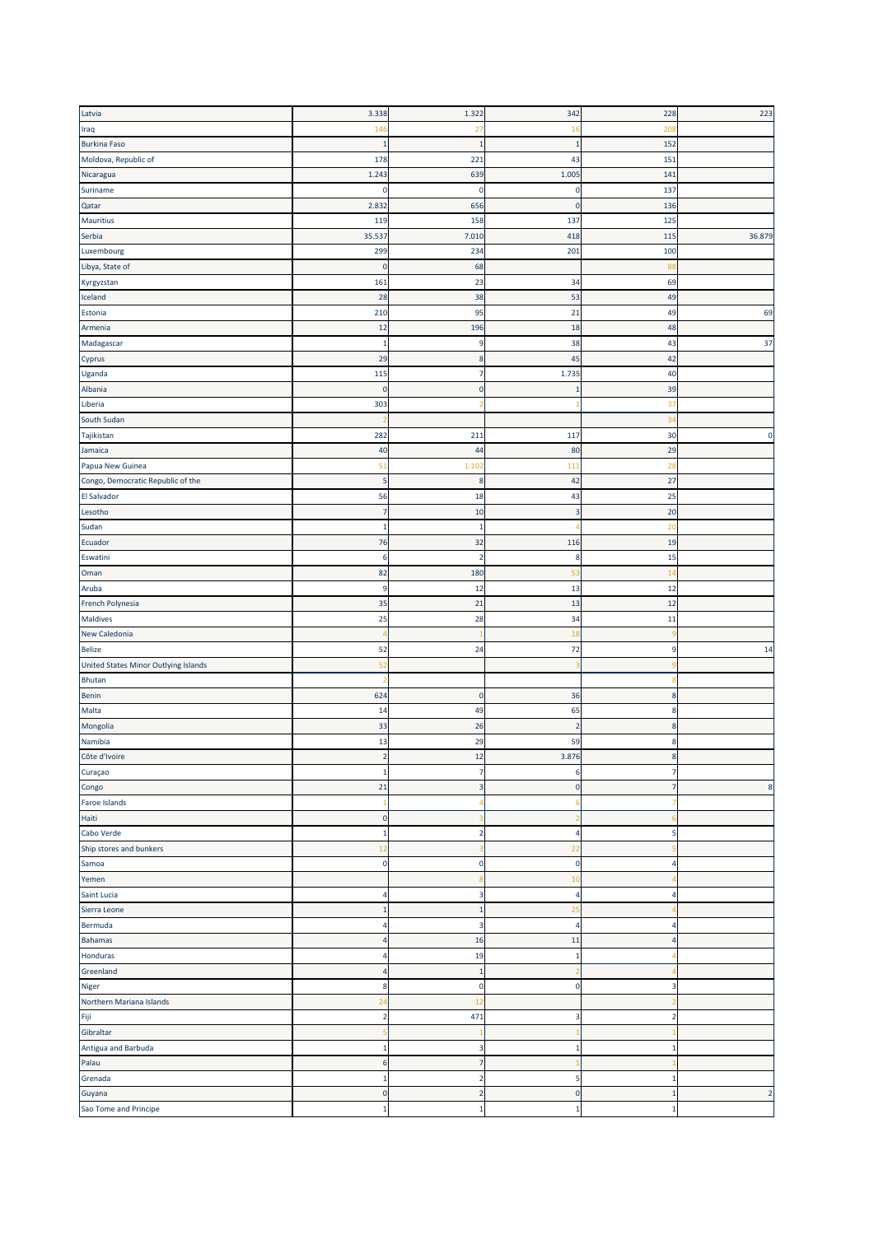| Iraq                                                                                   | 3.338                          | 1.322                   | 342            | 228                     | 223            |
|----------------------------------------------------------------------------------------|--------------------------------|-------------------------|----------------|-------------------------|----------------|
|                                                                                        | 146                            | 27                      | 16             | 208                     |                |
| <b>Burkina Faso</b>                                                                    | -1                             | $\mathbf{1}$            | -1             | 152                     |                |
| Moldova, Republic of                                                                   | 178                            | 221                     | 43             | 151                     |                |
|                                                                                        | 1.243                          | 639                     |                | 141                     |                |
| Nicaragua                                                                              |                                |                         | 1.005          |                         |                |
| Suriname                                                                               | 0                              | 0                       | 0              | 137                     |                |
| Qatar                                                                                  | 2.832                          | 656                     | $\Omega$       | 136                     |                |
| <b>Mauritius</b>                                                                       | 119                            | 158                     | 137            | 125                     |                |
| Serbia                                                                                 | 35.537                         | 7.010                   | 418            | 115                     | 36.879         |
| Luxembourg                                                                             | 299                            | 234                     | 201            | 100                     |                |
| Libya, State of                                                                        | $\overline{0}$                 | 68                      |                | 88                      |                |
| Kyrgyzstan                                                                             | 161                            | 23                      | 34             | 69                      |                |
| Iceland                                                                                | 28                             | 38                      | 53             | 49                      |                |
| Estonia                                                                                | 210                            | 95                      | 21             | 49                      | 69             |
| Armenia                                                                                | 12                             | 196                     | 18             | 48                      |                |
| Madagascar                                                                             | $\mathbf{1}$                   | 9                       | 38             | 43                      | 37             |
|                                                                                        | 29                             | 8                       | 45             | 42                      |                |
| Cyprus                                                                                 |                                |                         |                |                         |                |
| Uganda                                                                                 | 115                            | 7                       | 1.73           | 40                      |                |
| Albania                                                                                | $\mathbf 0$                    | 0                       |                | 39                      |                |
| Liberia                                                                                | 303                            |                         |                | 37                      |                |
| South Sudan                                                                            |                                |                         |                | 34                      |                |
| Tajikistan                                                                             | 282                            | 211                     | 117            | 30                      | $\pmb{0}$      |
| Jamaica                                                                                | 40                             | 44                      | 80             | 29                      |                |
| Papua New Guinea                                                                       | 51                             | 1.10                    | 111            | 28                      |                |
| Congo, Democratic Republic of the                                                      | 5                              | 8                       | 42             | 27                      |                |
| <b>El Salvador</b>                                                                     | 56                             | 18                      | 43             | 25                      |                |
|                                                                                        | $\overline{7}$                 |                         | 3              |                         |                |
| Lesotho                                                                                |                                | 10                      |                | 20                      |                |
| Sudan                                                                                  | $\mathbf{1}$                   | 1                       |                | 20                      |                |
| Ecuador                                                                                | 76                             | 32                      | 116            | 19                      |                |
| Eswatini                                                                               | 6                              | 2                       | 8              | 15                      |                |
| Oman                                                                                   | 82                             | 180                     | 53             | 14                      |                |
| Aruba                                                                                  | 9                              | 12                      | 13             | 12                      |                |
|                                                                                        |                                |                         |                |                         |                |
|                                                                                        | 35                             | 21                      | 13             | 12                      |                |
|                                                                                        |                                |                         |                |                         |                |
|                                                                                        | 25<br>$\overline{\mathcal{L}}$ | 28                      | 34             | 11                      |                |
| French Polynesia<br>Maldives<br>New Caledonia                                          |                                |                         | 18             |                         |                |
| <b>Belize</b>                                                                          | 52                             | 24                      | 72             | 9                       | 14             |
| United States Minor Outlying Islands                                                   | 52                             |                         |                |                         |                |
| Bhutan                                                                                 |                                |                         |                |                         |                |
| Benin                                                                                  | 624                            | 0                       | 36             | 8                       |                |
| Malta                                                                                  | 14                             | 49                      | 65             | 8                       |                |
| Mongolia                                                                               | 33                             | 26                      | 2              | 8                       |                |
| Namibia                                                                                | 13                             | 29                      | 59             | 8                       |                |
| Côte d'Ivoire                                                                          | $\overline{2}$                 | 12                      | 3.876          | 8                       |                |
| Curaçao                                                                                | $\mathbf{1}$                   | $\overline{7}$          | 6              | 7                       |                |
|                                                                                        | 21                             | 3                       | $\mathbf{0}$   | $\overline{7}$          | $\bf 8$        |
| Congo                                                                                  |                                |                         |                |                         |                |
| Faroe Islands                                                                          |                                |                         |                |                         |                |
| Haiti                                                                                  | $\overline{0}$                 |                         |                |                         |                |
|                                                                                        | $\mathbf{1}$                   | $\overline{\mathbf{c}}$ | 4              | 5                       |                |
|                                                                                        | 12                             |                         | 22             |                         |                |
|                                                                                        | $\mathbf 0$                    | 0                       | $\pmb{0}$      | 4                       |                |
|                                                                                        |                                |                         | 10             |                         |                |
|                                                                                        | $\overline{4}$                 | 3                       | 4              | 4                       |                |
| Cabo Verde<br>Ship stores and bunkers<br>Samoa<br>Yemen<br>Saint Lucia<br>Sierra Leone | $\mathbf{1}$                   | $\mathbf 1$             | 25             |                         |                |
|                                                                                        | $\overline{4}$                 | 3                       | $\overline{4}$ | 4                       |                |
|                                                                                        | $\overline{4}$                 | 16                      | 11             | $\overline{4}$          |                |
| Bermuda<br><b>Bahamas</b>                                                              | $\overline{4}$                 | 19                      | -1             |                         |                |
|                                                                                        | $\overline{4}$                 | $\mathbf 1$             |                |                         |                |
| Honduras<br>Greenland                                                                  |                                |                         |                |                         |                |
| Niger                                                                                  | 8                              | $\mathbf 0$             | $\mathbf 0$    | $\overline{\mathbf{3}}$ |                |
| Northern Mariana Islands                                                               | 24                             | 12                      |                |                         |                |
| Fiji                                                                                   | $\overline{\mathbf{2}}$        | 471                     | 3              | $\overline{2}$          |                |
|                                                                                        | 5                              | -1                      |                |                         |                |
| Gibraltar<br>Antigua and Barbuda                                                       | $\mathbf{1}$                   | 3                       | -1             | $\mathbf{1}$            |                |
| Palau                                                                                  | $6\phantom{1}6$                | $\overline{7}$          |                |                         |                |
| Grenada                                                                                | $\mathbf{1}$                   | $\overline{2}$          | 5              | $\mathbf{1}$            |                |
| Guyana                                                                                 | $\mathbf 0$                    | $\mathbf 2$             | $\mathbf{0}$   | $\mathbf{1}$            | $\overline{2}$ |